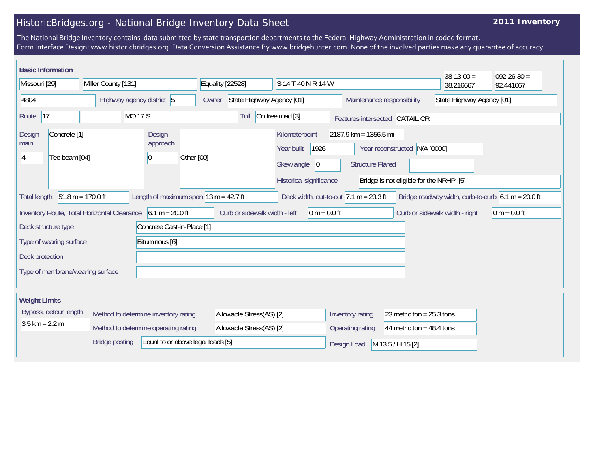## HistoricBridges.org - National Bridge Inventory Data Sheet

## **2011 Inventory**

The National Bridge Inventory contains data submitted by state transportion departments to the Federal Highway Administration in coded format. Form Interface Design: www.historicbridges.org. Data Conversion Assistance By www.bridgehunter.com. None of the involved parties make any guarantee of accuracy.

|                                                                                                                                                                                                             | <b>Basic Information</b>                 |                                                                     |                           |                            |                  |                                        |                                                                                              |                                                         |                                                                | $38-13-00 =$                   | $ 092-26-30 = -$ |
|-------------------------------------------------------------------------------------------------------------------------------------------------------------------------------------------------------------|------------------------------------------|---------------------------------------------------------------------|---------------------------|----------------------------|------------------|----------------------------------------|----------------------------------------------------------------------------------------------|---------------------------------------------------------|----------------------------------------------------------------|--------------------------------|------------------|
| Missouri [29]                                                                                                                                                                                               |                                          |                                                                     | Miller County [131]       |                            |                  | Equality [22528]<br>S 14 T 40 N R 14 W |                                                                                              |                                                         |                                                                | 38.216667                      | 92.441667        |
| 4804                                                                                                                                                                                                        |                                          |                                                                     | Highway agency district 5 |                            |                  | State Highway Agency [01]<br>Owner     |                                                                                              | State Highway Agency [01]<br>Maintenance responsibility |                                                                |                                |                  |
| 17<br><b>MO 17 S</b><br>Route                                                                                                                                                                               |                                          |                                                                     | On free road [3]<br>Toll  |                            |                  | Features intersected CATAIL CR         |                                                                                              |                                                         |                                                                |                                |                  |
| <b>Design</b><br>main<br>Ι4                                                                                                                                                                                 | Concrete <sup>[1]</sup><br>Tee beam [04] |                                                                     |                           | Design -<br>approach<br>10 | Other [00]       |                                        | Kilometerpoint<br>1926<br>Year built<br>Skew angle<br>$ 0\rangle$<br>Historical significance | $2187.9$ km = 1356.5 mi<br><b>Structure Flared</b>      | Year reconstructed<br>Bridge is not eligible for the NRHP. [5] | N/A [0000]                     |                  |
| Length of maximum span $13 m = 42.7 ft$<br>$51.8 m = 170.0 ft$<br>Deck width, out-to-out $ 7.1 \text{ m} = 23.3 \text{ ft} $<br>Bridge roadway width, curb-to-curb $6.1 m = 20.0 ft$<br><b>Total length</b> |                                          |                                                                     |                           |                            |                  |                                        |                                                                                              |                                                         |                                                                |                                |                  |
|                                                                                                                                                                                                             |                                          | Inventory Route, Total Horizontal Clearance $\vert$ 6.1 m = 20.0 ft |                           |                            |                  | Curb or sidewalk width - left          | $0 m = 0.0 ft$                                                                               |                                                         |                                                                | Curb or sidewalk width - right | $0 m = 0.0 ft$   |
| Concrete Cast-in-Place [1]<br>Deck structure type                                                                                                                                                           |                                          |                                                                     |                           |                            |                  |                                        |                                                                                              |                                                         |                                                                |                                |                  |
| Bituminous [6]<br>Type of wearing surface                                                                                                                                                                   |                                          |                                                                     |                           |                            |                  |                                        |                                                                                              |                                                         |                                                                |                                |                  |
| Deck protection                                                                                                                                                                                             |                                          |                                                                     |                           |                            |                  |                                        |                                                                                              |                                                         |                                                                |                                |                  |
| Type of membrane/wearing surface                                                                                                                                                                            |                                          |                                                                     |                           |                            |                  |                                        |                                                                                              |                                                         |                                                                |                                |                  |
|                                                                                                                                                                                                             |                                          |                                                                     |                           |                            |                  |                                        |                                                                                              |                                                         |                                                                |                                |                  |
| <b>Weight Limits</b>                                                                                                                                                                                        |                                          |                                                                     |                           |                            |                  |                                        |                                                                                              |                                                         |                                                                |                                |                  |
| Bypass, detour length<br>Method to determine inventory rating                                                                                                                                               |                                          |                                                                     | Allowable Stress(AS) [2]  |                            | Inventory rating | 23 metric ton = $25.3$ tons            |                                                                                              |                                                         |                                                                |                                |                  |
| $3.5 \text{ km} = 2.2 \text{ mi}$<br>Method to determine operating rating                                                                                                                                   |                                          |                                                                     | Allowable Stress(AS) [2]  |                            | Operating rating | 44 metric ton = $48.4$ tons            |                                                                                              |                                                         |                                                                |                                |                  |
| Equal to or above legal loads [5]<br><b>Bridge posting</b>                                                                                                                                                  |                                          |                                                                     |                           |                            |                  | Design Load                            | M 13.5 / H 15 [2]                                                                            |                                                         |                                                                |                                |                  |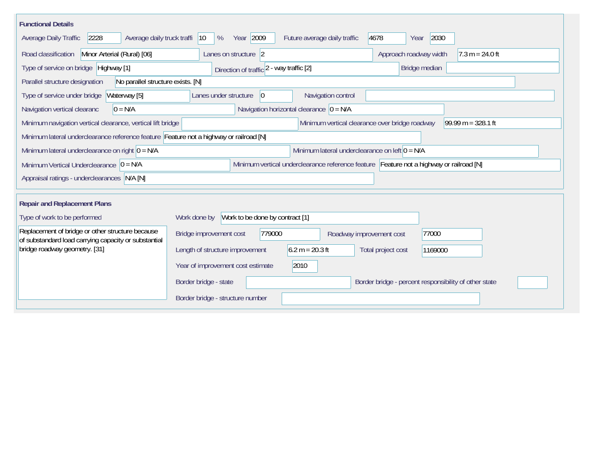| <b>Functional Details</b>                                                                                                             |                                                                                         |  |  |  |  |  |  |  |  |
|---------------------------------------------------------------------------------------------------------------------------------------|-----------------------------------------------------------------------------------------|--|--|--|--|--|--|--|--|
| 2228<br>Average daily truck traffi<br>Average Daily Traffic                                                                           | Year 2009<br>2030<br>4678<br>$ 10\rangle$<br>%<br>Future average daily traffic<br>Year  |  |  |  |  |  |  |  |  |
| Road classification<br>Minor Arterial (Rural) [06]                                                                                    | Approach roadway width<br>$7.3 m = 24.0 ft$<br>Lanes on structure 2                     |  |  |  |  |  |  |  |  |
| Type of service on bridge Highway [1]                                                                                                 | Bridge median<br>Direction of traffic 2 - way traffic [2]                               |  |  |  |  |  |  |  |  |
| No parallel structure exists. [N]<br>Parallel structure designation                                                                   |                                                                                         |  |  |  |  |  |  |  |  |
| Waterway [5]<br>Type of service under bridge                                                                                          | Navigation control<br>Lanes under structure<br>$\overline{0}$                           |  |  |  |  |  |  |  |  |
| Navigation horizontal clearance $ 0 = N/A $<br>Navigation vertical clearanc<br>$0 = N/A$                                              |                                                                                         |  |  |  |  |  |  |  |  |
| Minimum vertical clearance over bridge roadway<br>99.99 m = $328.1$ ft<br>Minimum navigation vertical clearance, vertical lift bridge |                                                                                         |  |  |  |  |  |  |  |  |
| Minimum lateral underclearance reference feature Feature not a highway or railroad [N]                                                |                                                                                         |  |  |  |  |  |  |  |  |
| Minimum lateral underclearance on left $0 = N/A$<br>Minimum lateral underclearance on right $0 = N/A$                                 |                                                                                         |  |  |  |  |  |  |  |  |
| Minimum Vertical Underclearance $ 0 = N/A$                                                                                            | Minimum vertical underclearance reference feature Feature not a highway or railroad [N] |  |  |  |  |  |  |  |  |
| Appraisal ratings - underclearances N/A [N]                                                                                           |                                                                                         |  |  |  |  |  |  |  |  |
|                                                                                                                                       |                                                                                         |  |  |  |  |  |  |  |  |
| <b>Repair and Replacement Plans</b>                                                                                                   |                                                                                         |  |  |  |  |  |  |  |  |
| Type of work to be performed                                                                                                          | Work to be done by contract [1]<br>Work done by                                         |  |  |  |  |  |  |  |  |
| Replacement of bridge or other structure because<br>of substandard load carrying capacity or substantial                              | 779000<br>Bridge improvement cost<br>77000<br>Roadway improvement cost                  |  |  |  |  |  |  |  |  |
| bridge roadway geometry. [31]                                                                                                         | $6.2 m = 20.3 ft$<br>Length of structure improvement<br>Total project cost<br>1169000   |  |  |  |  |  |  |  |  |
|                                                                                                                                       | 2010<br>Year of improvement cost estimate                                               |  |  |  |  |  |  |  |  |
|                                                                                                                                       | Border bridge - state<br>Border bridge - percent responsibility of other state          |  |  |  |  |  |  |  |  |
|                                                                                                                                       | Border bridge - structure number                                                        |  |  |  |  |  |  |  |  |